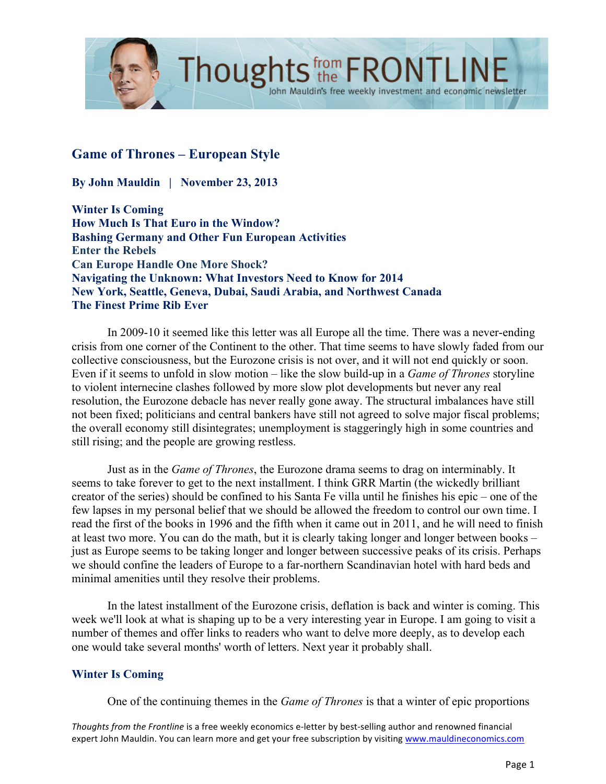

# **Game of Thrones – European Style**

**By John Mauldin | November 23, 2013**

**Winter Is Coming How Much Is That Euro in the Window? Bashing Germany and Other Fun European Activities Enter the Rebels Can Europe Handle One More Shock? Navigating the Unknown: What Investors Need to Know for 2014 New York, Seattle, Geneva, Dubai, Saudi Arabia, and Northwest Canada The Finest Prime Rib Ever**

In 2009-10 it seemed like this letter was all Europe all the time. There was a never-ending crisis from one corner of the Continent to the other. That time seems to have slowly faded from our collective consciousness, but the Eurozone crisis is not over, and it will not end quickly or soon. Even if it seems to unfold in slow motion – like the slow build-up in a *Game of Thrones* storyline to violent internecine clashes followed by more slow plot developments but never any real resolution, the Eurozone debacle has never really gone away. The structural imbalances have still not been fixed; politicians and central bankers have still not agreed to solve major fiscal problems; the overall economy still disintegrates; unemployment is staggeringly high in some countries and still rising; and the people are growing restless.

John Mauldin's free weekly investment and economic newsletter

Just as in the *Game of Thrones*, the Eurozone drama seems to drag on interminably. It seems to take forever to get to the next installment. I think GRR Martin (the wickedly brilliant creator of the series) should be confined to his Santa Fe villa until he finishes his epic – one of the few lapses in my personal belief that we should be allowed the freedom to control our own time. I read the first of the books in 1996 and the fifth when it came out in 2011, and he will need to finish at least two more. You can do the math, but it is clearly taking longer and longer between books – just as Europe seems to be taking longer and longer between successive peaks of its crisis. Perhaps we should confine the leaders of Europe to a far-northern Scandinavian hotel with hard beds and minimal amenities until they resolve their problems.

In the latest installment of the Eurozone crisis, deflation is back and winter is coming. This week we'll look at what is shaping up to be a very interesting year in Europe. I am going to visit a number of themes and offer links to readers who want to delve more deeply, as to develop each one would take several months' worth of letters. Next year it probably shall.

### **Winter Is Coming**

One of the continuing themes in the *Game of Thrones* is that a winter of epic proportions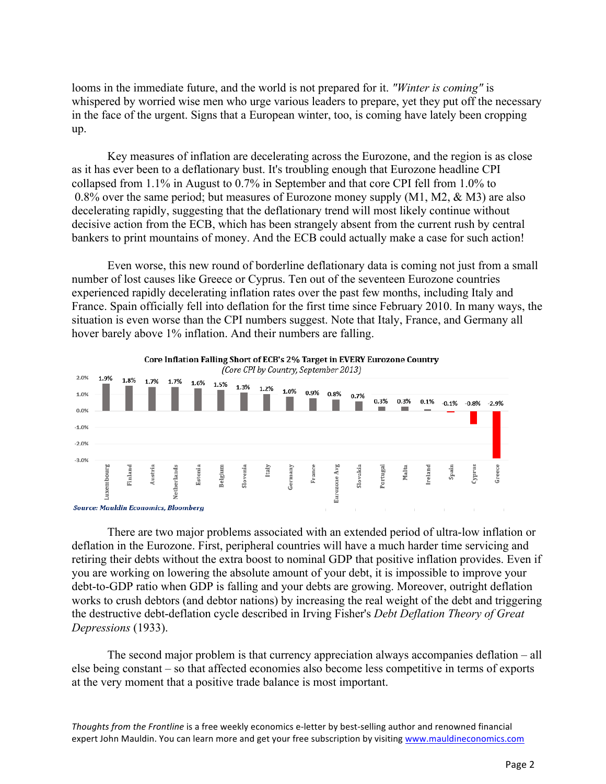looms in the immediate future, and the world is not prepared for it. *"Winter is coming"* is whispered by worried wise men who urge various leaders to prepare, yet they put off the necessary in the face of the urgent. Signs that a European winter, too, is coming have lately been cropping up.

Key measures of inflation are decelerating across the Eurozone, and the region is as close as it has ever been to a deflationary bust. It's troubling enough that Eurozone headline CPI collapsed from 1.1% in August to 0.7% in September and that core CPI fell from 1.0% to 0.8% over the same period; but measures of Eurozone money supply (M1, M2, & M3) are also decelerating rapidly, suggesting that the deflationary trend will most likely continue without decisive action from the ECB, which has been strangely absent from the current rush by central bankers to print mountains of money. And the ECB could actually make a case for such action!

Even worse, this new round of borderline deflationary data is coming not just from a small number of lost causes like Greece or Cyprus. Ten out of the seventeen Eurozone countries experienced rapidly decelerating inflation rates over the past few months, including Italy and France. Spain officially fell into deflation for the first time since February 2010. In many ways, the situation is even worse than the CPI numbers suggest. Note that Italy, France, and Germany all hover barely above 1% inflation. And their numbers are falling.



There are two major problems associated with an extended period of ultra-low inflation or deflation in the Eurozone. First, peripheral countries will have a much harder time servicing and retiring their debts without the extra boost to nominal GDP that positive inflation provides. Even if you are working on lowering the absolute amount of your debt, it is impossible to improve your debt-to-GDP ratio when GDP is falling and your debts are growing. Moreover, outright deflation works to crush debtors (and debtor nations) by increasing the real weight of the debt and triggering the destructive debt-deflation cycle described in Irving Fisher's *Debt Deflation Theory of Great Depressions* (1933).

The second major problem is that currency appreciation always accompanies deflation – all else being constant – so that affected economies also become less competitive in terms of exports at the very moment that a positive trade balance is most important.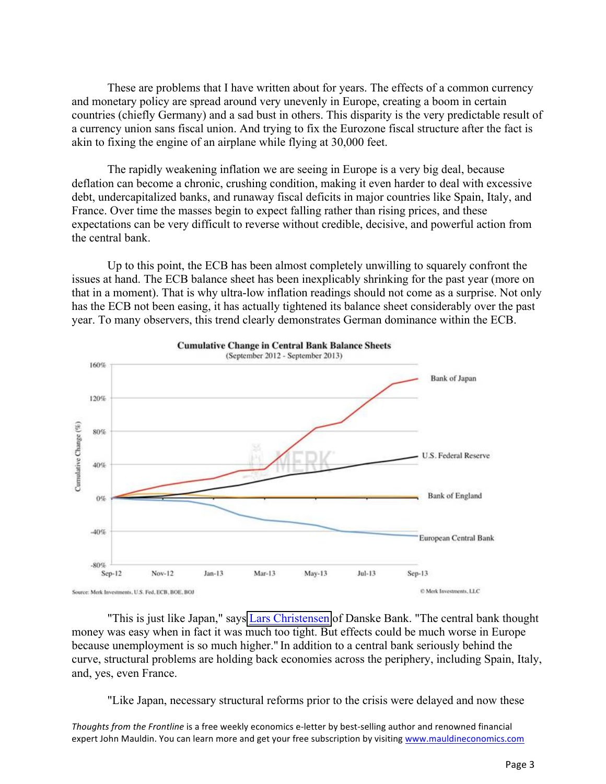These are problems that I have written about for years. The effects of a common currency and monetary policy are spread around very unevenly in Europe, creating a boom in certain countries (chiefly Germany) and a sad bust in others. This disparity is the very predictable result of a currency union sans fiscal union. And trying to fix the Eurozone fiscal structure after the fact is akin to fixing the engine of an airplane while flying at 30,000 feet.

The rapidly weakening inflation we are seeing in Europe is a very big deal, because deflation can become a chronic, crushing condition, making it even harder to deal with excessive debt, undercapitalized banks, and runaway fiscal deficits in major countries like Spain, Italy, and France. Over time the masses begin to expect falling rather than rising prices, and these expectations can be very difficult to reverse without credible, decisive, and powerful action from the central bank.

Up to this point, the ECB has been almost completely unwilling to squarely confront the issues at hand. The ECB balance sheet has been inexplicably shrinking for the past year (more on that in a moment). That is why ultra-low inflation readings should not come as a surprise. Not only has the ECB not been easing, it has actually tightened its balance sheet considerably over the past year. To many observers, this trend clearly demonstrates German dominance within the ECB.



"This is just like Japan," says [Lars Christensen](http://www.telegraph.co.uk/finance/financialcrisis/10428955/EU-opens-door-to-showdown-with-Germany-on-trade-surplus.html) of Danske Bank. "The central bank thought money was easy when in fact it was much too tight. But effects could be much worse in Europe because unemployment is so much higher." In addition to a central bank seriously behind the curve, structural problems are holding back economies across the periphery, including Spain, Italy, and, yes, even France.

"Like Japan, necessary structural reforms prior to the crisis were delayed and now these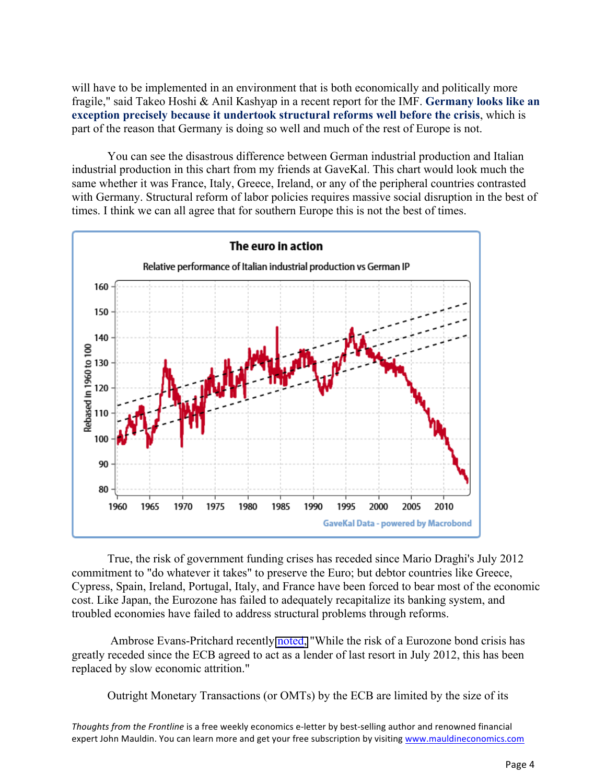will have to be implemented in an environment that is both economically and politically more fragile," said Takeo Hoshi & Anil Kashyap in a recent report for the IMF. **Germany looks like an exception precisely because it undertook structural reforms well before the crisis**, which is part of the reason that Germany is doing so well and much of the rest of Europe is not.

You can see the disastrous difference between German industrial production and Italian industrial production in this chart from my friends at GaveKal. This chart would look much the same whether it was France, Italy, Greece, Ireland, or any of the peripheral countries contrasted with Germany. Structural reform of labor policies requires massive social disruption in the best of times. I think we can all agree that for southern Europe this is not the best of times.



True, the risk of government funding crises has receded since Mario Draghi's July 2012 commitment to "do whatever it takes" to preserve the Euro; but debtor countries like Greece, Cypress, Spain, Ireland, Portugal, Italy, and France have been forced to bear most of the economic cost. Like Japan, the Eurozone has failed to adequately recapitalize its banking system, and troubled economies have failed to address structural problems through reforms.

Ambrose Evans-Pritchard recently [noted,](http://www.telegraph.co.uk/finance/financialcrisis/10450889/French-officials-warn-of-social-tinderbox-as-economy-contracts-again.html) "While the risk of a Eurozone bond crisis has greatly receded since the ECB agreed to act as a lender of last resort in July 2012, this has been replaced by slow economic attrition."

Outright Monetary Transactions (or OMTs) by the ECB are limited by the size of its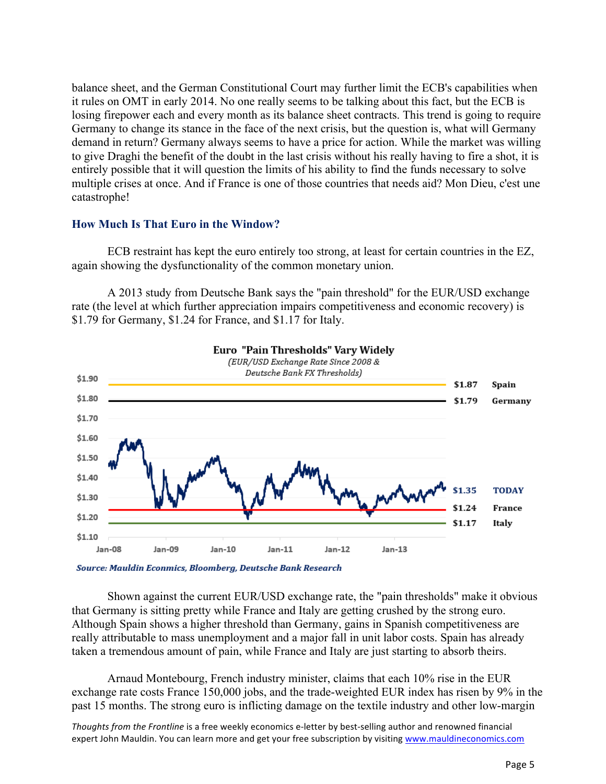balance sheet, and the German Constitutional Court may further limit the ECB's capabilities when it rules on OMT in early 2014. No one really seems to be talking about this fact, but the ECB is losing firepower each and every month as its balance sheet contracts. This trend is going to require Germany to change its stance in the face of the next crisis, but the question is, what will Germany demand in return? Germany always seems to have a price for action. While the market was willing to give Draghi the benefit of the doubt in the last crisis without his really having to fire a shot, it is entirely possible that it will question the limits of his ability to find the funds necessary to solve multiple crises at once. And if France is one of those countries that needs aid? Mon Dieu, c'est une catastrophe!

### **How Much Is That Euro in the Window?**

ECB restraint has kept the euro entirely too strong, at least for certain countries in the EZ, again showing the dysfunctionality of the common monetary union.

A 2013 study from Deutsche Bank says the "pain threshold" for the EUR/USD exchange rate (the level at which further appreciation impairs competitiveness and economic recovery) is \$1.79 for Germany, \$1.24 for France, and \$1.17 for Italy.



Source: Mauldin Econmics, Bloomberg, Deutsche Bank Research

Shown against the current EUR/USD exchange rate, the "pain thresholds" make it obvious that Germany is sitting pretty while France and Italy are getting crushed by the strong euro. Although Spain shows a higher threshold than Germany, gains in Spanish competitiveness are really attributable to mass unemployment and a major fall in unit labor costs. Spain has already taken a tremendous amount of pain, while France and Italy are just starting to absorb theirs.

Arnaud Montebourg, French industry minister, claims that each 10% rise in the EUR exchange rate costs France 150,000 jobs, and the trade-weighted EUR index has risen by 9% in the past 15 months. The strong euro is inflicting damage on the textile industry and other low-margin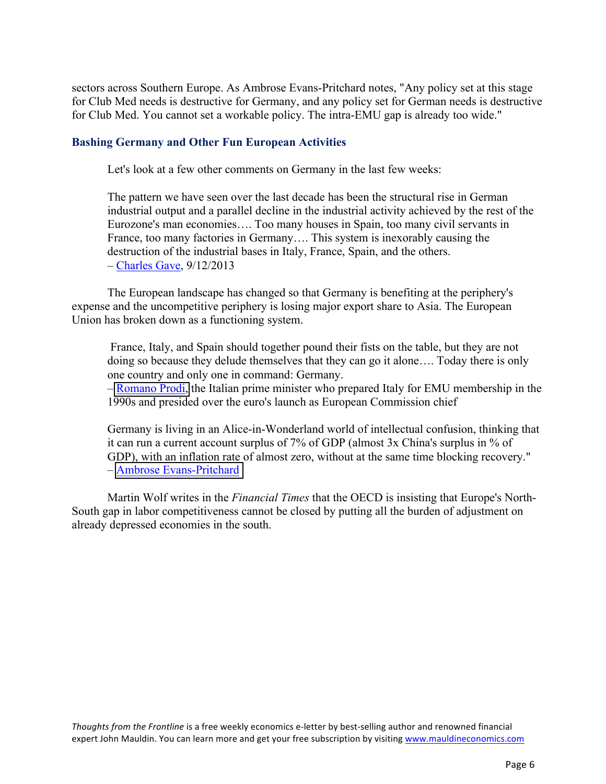sectors across Southern Europe. As Ambrose Evans-Pritchard notes, "Any policy set at this stage for Club Med needs is destructive for Germany, and any policy set for German needs is destructive for Club Med. You cannot set a workable policy. The intra-EMU gap is already too wide."

### **Bashing Germany and Other Fun European Activities**

Let's look at a few other comments on Germany in the last few weeks:

The pattern we have seen over the last decade has been the structural rise in German industrial output and a parallel decline in the industrial activity achieved by the rest of the Eurozone's man economies…. Too many houses in Spain, too many civil servants in France, too many factories in Germany…. This system is inexorably causing the destruction of the industrial bases in Italy, France, Spain, and the others. – Charles Gave, 9/12/2013

The European landscape has changed so that Germany is benefiting at the periphery's expense and the uncompetitive periphery is losing major export share to Asia. The European Union has broken down as a functioning system.

France, Italy, and Spain should together pound their fists on the table, but they are not doing so because they delude themselves that they can go it alone…. Today there is only one country and only one in command: Germany.

– [Romano Prodi,](http://blogs.telegraph.co.uk/finance/ambroseevans-pritchard/100025983/italys-mr-euro-urges-latin-front-warns-germany-wont-sell-another-mercedes-in-europe/) the Italian prime minister who prepared Italy for EMU membership in the 1990s and presided over the euro's launch as European Commission chief

Germany is living in an Alice-in-Wonderland world of intellectual confusion, thinking that it can run a current account surplus of 7% of GDP (almost 3x China's surplus in % of GDP), with an inflation rate of almost zero, without at the same time blocking recovery." – [Ambrose Evans-Pritchard](http://blogs.telegraph.co.uk/finance/ambroseevans-pritchard/100025983/italys-mr-euro-urges-latin-front-warns-germany-wont-sell-another-mercedes-in-europe/)

Martin Wolf writes in the *Financial Times* that the OECD is insisting that Europe's North-South gap in labor competitiveness cannot be closed by putting all the burden of adjustment on already depressed economies in the south.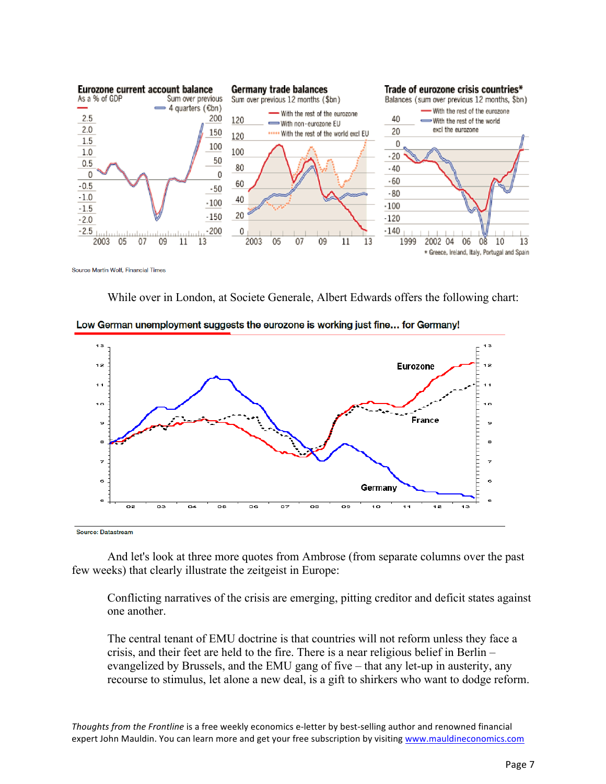

Source Martin Wolf, Financial Times

While over in London, at Societe Generale, Albert Edwards offers the following chart:



Low German unemployment suggests the eurozone is working just fine... for Germany!

Source: Datastream

And let's look at three more quotes from Ambrose (from separate columns over the past few weeks) that clearly illustrate the zeitgeist in Europe:

Conflicting narratives of the crisis are emerging, pitting creditor and deficit states against one another.

The central tenant of EMU doctrine is that countries will not reform unless they face a crisis, and their feet are held to the fire. There is a near religious belief in Berlin – evangelized by Brussels, and the EMU gang of five – that any let-up in austerity, any recourse to stimulus, let alone a new deal, is a gift to shirkers who want to dodge reform.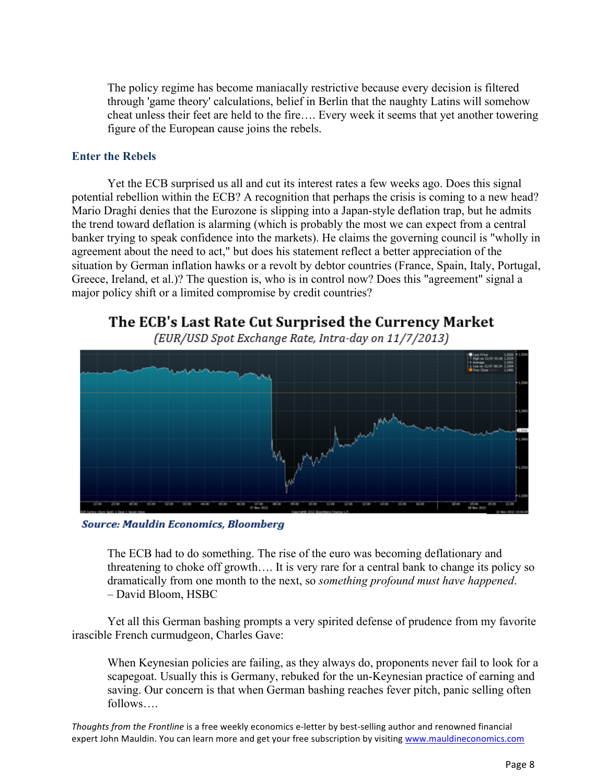The policy regime has become maniacally restrictive because every decision is filtered through 'game theory' calculations, belief in Berlin that the naughty Latins will somehow cheat unless their feet are held to the fire…. Every week it seems that yet another towering figure of the European cause joins the rebels.

### **Enter the Rebels**

Yet the ECB surprised us all and cut its interest rates a few weeks ago. Does this signal potential rebellion within the ECB? A recognition that perhaps the crisis is coming to a new head? Mario Draghi denies that the Eurozone is slipping into a Japan-style deflation trap, but he admits the trend toward deflation is alarming (which is probably the most we can expect from a central banker trying to speak confidence into the markets). He claims the governing council is "wholly in agreement about the need to act," but does his statement reflect a better appreciation of the situation by German inflation hawks or a revolt by debtor countries (France, Spain, Italy, Portugal, Greece, Ireland, et al.)? The question is, who is in control now? Does this "agreement" signal a major policy shift or a limited compromise by credit countries?

The ECB's Last Rate Cut Surprised the Currency Market

(EUR/USD Spot Exchange Rate, Intra-day on 11/7/2013)



**Source: Mauldin Economics, Bloomberg** 

The ECB had to do something. The rise of the euro was becoming deflationary and threatening to choke off growth…. It is very rare for a central bank to change its policy so dramatically from one month to the next, so *something profound must have happened*. – David Bloom, HSBC

Yet all this German bashing prompts a very spirited defense of prudence from my favorite irascible French curmudgeon, Charles Gave:

When Keynesian policies are failing, as they always do, proponents never fail to look for a scapegoat. Usually this is Germany, rebuked for the un-Keynesian practice of earning and saving. Our concern is that when German bashing reaches fever pitch, panic selling often follows….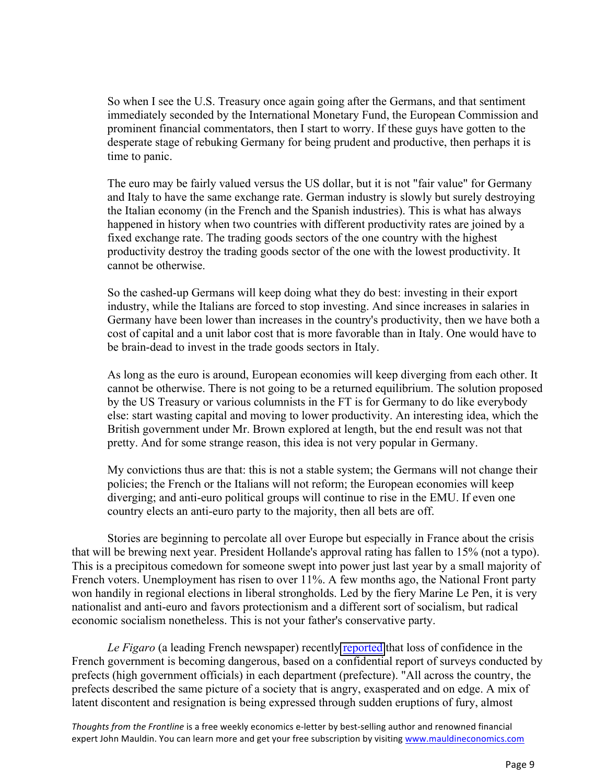So when I see the U.S. Treasury once again going after the Germans, and that sentiment immediately seconded by the International Monetary Fund, the European Commission and prominent financial commentators, then I start to worry. If these guys have gotten to the desperate stage of rebuking Germany for being prudent and productive, then perhaps it is time to panic.

The euro may be fairly valued versus the US dollar, but it is not "fair value" for Germany and Italy to have the same exchange rate. German industry is slowly but surely destroying the Italian economy (in the French and the Spanish industries). This is what has always happened in history when two countries with different productivity rates are joined by a fixed exchange rate. The trading goods sectors of the one country with the highest productivity destroy the trading goods sector of the one with the lowest productivity. It cannot be otherwise.

So the cashed-up Germans will keep doing what they do best: investing in their export industry, while the Italians are forced to stop investing. And since increases in salaries in Germany have been lower than increases in the country's productivity, then we have both a cost of capital and a unit labor cost that is more favorable than in Italy. One would have to be brain-dead to invest in the trade goods sectors in Italy.

As long as the euro is around, European economies will keep diverging from each other. It cannot be otherwise. There is not going to be a returned equilibrium. The solution proposed by the US Treasury or various columnists in the FT is for Germany to do like everybody else: start wasting capital and moving to lower productivity. An interesting idea, which the British government under Mr. Brown explored at length, but the end result was not that pretty. And for some strange reason, this idea is not very popular in Germany.

My convictions thus are that: this is not a stable system; the Germans will not change their policies; the French or the Italians will not reform; the European economies will keep diverging; and anti-euro political groups will continue to rise in the EMU. If even one country elects an anti-euro party to the majority, then all bets are off.

Stories are beginning to percolate all over Europe but especially in France about the crisis that will be brewing next year. President Hollande's approval rating has fallen to 15% (not a typo). This is a precipitous comedown for someone swept into power just last year by a small majority of French voters. Unemployment has risen to over 11%. A few months ago, the National Front party won handily in regional elections in liberal strongholds. Led by the fiery Marine Le Pen, it is very nationalist and anti-euro and favors protectionism and a different sort of socialism, but radical economic socialism nonetheless. This is not your father's conservative party.

*Le Figaro* (a leading French newspaper) recently [reported](http://www.telegraph.co.uk/finance/financialcrisis/10450889/French-officials-warn-of-social-tinderbox-as-economy-contracts-again.html) that loss of confidence in the French government is becoming dangerous, based on a confidential report of surveys conducted by prefects (high government officials) in each department (prefecture). "All across the country, the prefects described the same picture of a society that is angry, exasperated and on edge. A mix of latent discontent and resignation is being expressed through sudden eruptions of fury, almost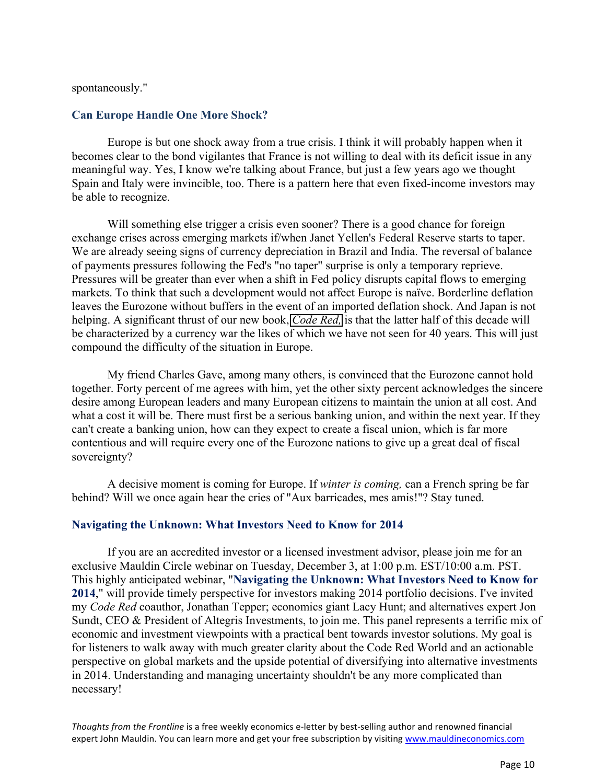#### spontaneously."

### **Can Europe Handle One More Shock?**

Europe is but one shock away from a true crisis. I think it will probably happen when it becomes clear to the bond vigilantes that France is not willing to deal with its deficit issue in any meaningful way. Yes, I know we're talking about France, but just a few years ago we thought Spain and Italy were invincible, too. There is a pattern here that even fixed-income investors may be able to recognize.

Will something else trigger a crisis even sooner? There is a good chance for foreign exchange crises across emerging markets if/when Janet Yellen's Federal Reserve starts to taper. We are already seeing signs of currency depreciation in Brazil and India. The reversal of balance of payments pressures following the Fed's "no taper" surprise is only a temporary reprieve. Pressures will be greater than ever when a shift in Fed policy disrupts capital flows to emerging markets. To think that such a development would not affect Europe is naïve. Borderline deflation leaves the Eurozone without buffers in the event of an imported deflation shock. And Japan is not helping. A significant thrust of our new book, *[Code Red,](http://www.mauldineconomics.com/go/vu22m-2/MEC)* is that the latter half of this decade will be characterized by a currency war the likes of which we have not seen for 40 years. This will just compound the difficulty of the situation in Europe.

My friend Charles Gave, among many others, is convinced that the Eurozone cannot hold together. Forty percent of me agrees with him, yet the other sixty percent acknowledges the sincere desire among European leaders and many European citizens to maintain the union at all cost. And what a cost it will be. There must first be a serious banking union, and within the next year. If they can't create a banking union, how can they expect to create a fiscal union, which is far more contentious and will require every one of the Eurozone nations to give up a great deal of fiscal sovereignty?

A decisive moment is coming for Europe. If *winter is coming,* can a French spring be far behind? Will we once again hear the cries of "Aux barricades, mes amis!"? Stay tuned.

### **Navigating the Unknown: What Investors Need to Know for 2014**

If you are an accredited investor or a licensed investment advisor, please join me for an exclusive Mauldin Circle webinar on Tuesday, December 3, at 1:00 p.m. EST/10:00 a.m. PST. This highly anticipated webinar, "**Navigating the Unknown: What Investors Need to Know for 2014**," will provide timely perspective for investors making 2014 portfolio decisions. I've invited my *Code Red* coauthor, Jonathan Tepper; economics giant Lacy Hunt; and alternatives expert Jon Sundt, CEO & President of Altegris Investments, to join me. This panel represents a terrific mix of economic and investment viewpoints with a practical bent towards investor solutions. My goal is for listeners to walk away with much greater clarity about the Code Red World and an actionable perspective on global markets and the upside potential of diversifying into alternative investments in 2014. Understanding and managing uncertainty shouldn't be any more complicated than necessary!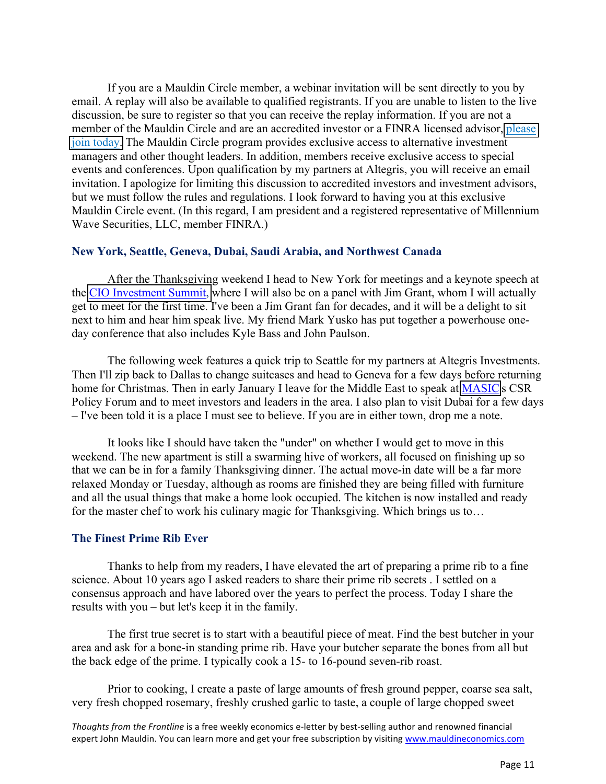If you are a Mauldin Circle member, a webinar invitation will be sent directly to you by email. A replay will also be available to qualified registrants. If you are unable to listen to the live discussion, be sure to register so that you can receive the replay information. If you are not a member of the Mauldin Circle and are an accredited investor or a FINRA licensed advisor, please [join today.](http://www.mauldincircle.com) The Mauldin Circle program provides exclusive access to alternative investment managers and other thought leaders. In addition, members receive exclusive access to special events and conferences. Upon qualification by my partners at Altegris, you will receive an email invitation. I apologize for limiting this discussion to accredited investors and investment advisors, but we must follow the rules and regulations. I look forward to having you at this exclusive Mauldin Circle event. (In this regard, I am president and a registered representative of Millennium Wave Securities, LLC, member FINRA.)

#### **New York, Seattle, Geneva, Dubai, Saudi Arabia, and Northwest Canada**

After the Thanksgiving weekend I head to New York for meetings and a keynote speech at the [CIO Investment Summit,](http://www.ai-cio.com/event/CIOSNY2013/) where I will also be on a panel with Jim Grant, whom I will actually get to meet for the first time. I've been a Jim Grant fan for decades, and it will be a delight to sit next to him and hear him speak live. My friend Mark Yusko has put together a powerhouse oneday conference that also includes Kyle Bass and John Paulson.

The following week features a quick trip to Seattle for my partners at Altegris Investments. Then I'll zip back to Dallas to change suitcases and head to Geneva for a few days before returning home for Christmas. Then in early January I leave for the Middle East to speak at [MASIC'](http://www.masic.com.sa/)s CSR Policy Forum and to meet investors and leaders in the area. I also plan to visit Dubai for a few days – I've been told it is a place I must see to believe. If you are in either town, drop me a note.

It looks like I should have taken the "under" on whether I would get to move in this weekend. The new apartment is still a swarming hive of workers, all focused on finishing up so that we can be in for a family Thanksgiving dinner. The actual move-in date will be a far more relaxed Monday or Tuesday, although as rooms are finished they are being filled with furniture and all the usual things that make a home look occupied. The kitchen is now installed and ready for the master chef to work his culinary magic for Thanksgiving. Which brings us to…

#### **The Finest Prime Rib Ever**

Thanks to help from my readers, I have elevated the art of preparing a prime rib to a fine science. About 10 years ago I asked readers to share their prime rib secrets . I settled on a consensus approach and have labored over the years to perfect the process. Today I share the results with you – but let's keep it in the family.

The first true secret is to start with a beautiful piece of meat. Find the best butcher in your area and ask for a bone-in standing prime rib. Have your butcher separate the bones from all but the back edge of the prime. I typically cook a 15- to 16-pound seven-rib roast.

Prior to cooking, I create a paste of large amounts of fresh ground pepper, coarse sea salt, very fresh chopped rosemary, freshly crushed garlic to taste, a couple of large chopped sweet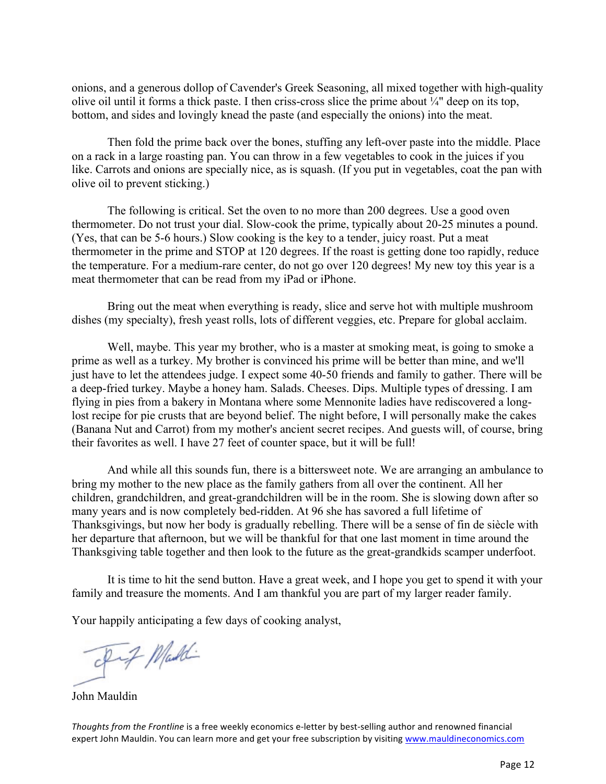onions, and a generous dollop of Cavender's Greek Seasoning, all mixed together with high-quality olive oil until it forms a thick paste. I then criss-cross slice the prime about  $\frac{1}{4}$ " deep on its top, bottom, and sides and lovingly knead the paste (and especially the onions) into the meat.

Then fold the prime back over the bones, stuffing any left-over paste into the middle. Place on a rack in a large roasting pan. You can throw in a few vegetables to cook in the juices if you like. Carrots and onions are specially nice, as is squash. (If you put in vegetables, coat the pan with olive oil to prevent sticking.)

The following is critical. Set the oven to no more than 200 degrees. Use a good oven thermometer. Do not trust your dial. Slow-cook the prime, typically about 20-25 minutes a pound. (Yes, that can be 5-6 hours.) Slow cooking is the key to a tender, juicy roast. Put a meat thermometer in the prime and STOP at 120 degrees. If the roast is getting done too rapidly, reduce the temperature. For a medium-rare center, do not go over 120 degrees! My new toy this year is a meat thermometer that can be read from my iPad or iPhone.

Bring out the meat when everything is ready, slice and serve hot with multiple mushroom dishes (my specialty), fresh yeast rolls, lots of different veggies, etc. Prepare for global acclaim.

Well, maybe. This year my brother, who is a master at smoking meat, is going to smoke a prime as well as a turkey. My brother is convinced his prime will be better than mine, and we'll just have to let the attendees judge. I expect some 40-50 friends and family to gather. There will be a deep-fried turkey. Maybe a honey ham. Salads. Cheeses. Dips. Multiple types of dressing. I am flying in pies from a bakery in Montana where some Mennonite ladies have rediscovered a longlost recipe for pie crusts that are beyond belief. The night before, I will personally make the cakes (Banana Nut and Carrot) from my mother's ancient secret recipes. And guests will, of course, bring their favorites as well. I have 27 feet of counter space, but it will be full!

And while all this sounds fun, there is a bittersweet note. We are arranging an ambulance to bring my mother to the new place as the family gathers from all over the continent. All her children, grandchildren, and great-grandchildren will be in the room. She is slowing down after so many years and is now completely bed-ridden. At 96 she has savored a full lifetime of Thanksgivings, but now her body is gradually rebelling. There will be a sense of fin de siècle with her departure that afternoon, but we will be thankful for that one last moment in time around the Thanksgiving table together and then look to the future as the great-grandkids scamper underfoot.

It is time to hit the send button. Have a great week, and I hope you get to spend it with your family and treasure the moments. And I am thankful you are part of my larger reader family.

Your happily anticipating a few days of cooking analyst,

prof Maddi

John Mauldin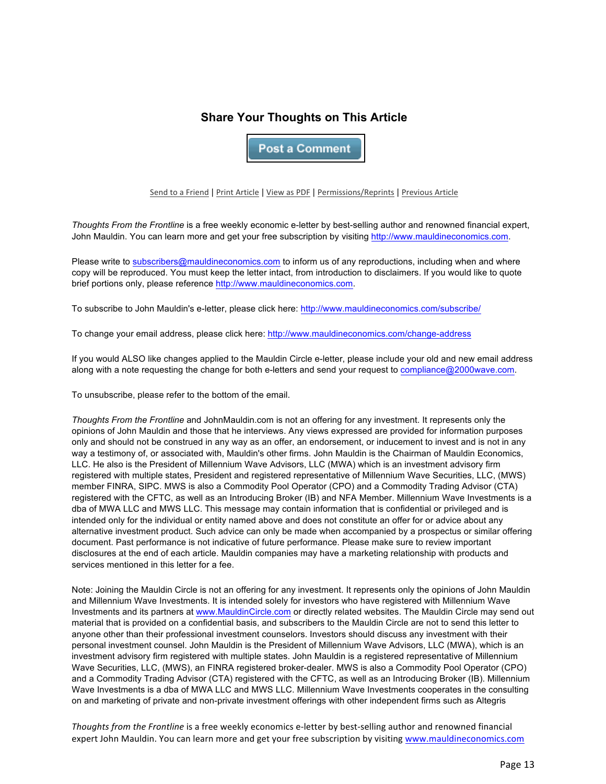## **Share Your Thoughts on This Article**

**Post a Comment** 

Send to a Friend | Print Article | View as PDF | Permissions/Reprints | Previous Article

*Thoughts From the Frontline* is a free weekly economic e-letter by best-selling author and renowned financial expert, John Mauldin. You can learn more and get your free subscription by visiting http://www.mauldineconomics.com.

Please write to subscribers@mauldineconomics.com to inform us of any reproductions, including when and where copy will be reproduced. You must keep the letter intact, from introduction to disclaimers. If you would like to quote brief portions only, please reference http://www.mauldineconomics.com.

To subscribe to John Mauldin's e-letter, please click here: http://www.mauldineconomics.com/subscribe/

To change your email address, please click here: http://www.mauldineconomics.com/change-address

If you would ALSO like changes applied to the Mauldin Circle e-letter, please include your old and new email address along with a note requesting the change for both e-letters and send your request to compliance@2000wave.com.

To unsubscribe, please refer to the bottom of the email.

*Thoughts From the Frontline* and JohnMauldin.com is not an offering for any investment. It represents only the opinions of John Mauldin and those that he interviews. Any views expressed are provided for information purposes only and should not be construed in any way as an offer, an endorsement, or inducement to invest and is not in any way a testimony of, or associated with, Mauldin's other firms. John Mauldin is the Chairman of Mauldin Economics, LLC. He also is the President of Millennium Wave Advisors, LLC (MWA) which is an investment advisory firm registered with multiple states, President and registered representative of Millennium Wave Securities, LLC, (MWS) member FINRA, SIPC. MWS is also a Commodity Pool Operator (CPO) and a Commodity Trading Advisor (CTA) registered with the CFTC, as well as an Introducing Broker (IB) and NFA Member. Millennium Wave Investments is a dba of MWA LLC and MWS LLC. This message may contain information that is confidential or privileged and is intended only for the individual or entity named above and does not constitute an offer for or advice about any alternative investment product. Such advice can only be made when accompanied by a prospectus or similar offering document. Past performance is not indicative of future performance. Please make sure to review important disclosures at the end of each article. Mauldin companies may have a marketing relationship with products and services mentioned in this letter for a fee.

Note: Joining the Mauldin Circle is not an offering for any investment. It represents only the opinions of John Mauldin and Millennium Wave Investments. It is intended solely for investors who have registered with Millennium Wave Investments and its partners at www.MauldinCircle.com or directly related websites. The Mauldin Circle may send out material that is provided on a confidential basis, and subscribers to the Mauldin Circle are not to send this letter to anyone other than their professional investment counselors. Investors should discuss any investment with their personal investment counsel. John Mauldin is the President of Millennium Wave Advisors, LLC (MWA), which is an investment advisory firm registered with multiple states. John Mauldin is a registered representative of Millennium Wave Securities, LLC, (MWS), an FINRA registered broker-dealer. MWS is also a Commodity Pool Operator (CPO) and a Commodity Trading Advisor (CTA) registered with the CFTC, as well as an Introducing Broker (IB). Millennium Wave Investments is a dba of MWA LLC and MWS LLC. Millennium Wave Investments cooperates in the consulting on and marketing of private and non-private investment offerings with other independent firms such as Altegris